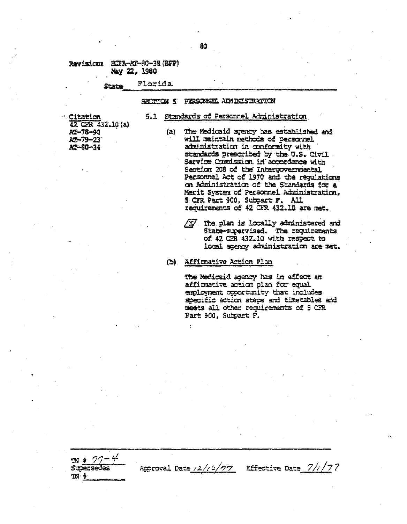Revision: ECFA-AT-80-38 (BFF) Mary 22, 1980

#### Florida State

## SECTION 5 PERSONNEL ADMINISTRATION

## 5.1 Standards of Personnel Administration

**Citation** 42 CFR 432.10 (a) AT-78-90 AT-79-23 AT-80-34

 $m * 77 -$ 

**Supersedes** 

 $\mathbb{N}$  .

- The Medicaid agency has established and  $(a)$ will maintain methods of personnel administration in conformity with standards prescribed by the U.S. Civil Service Commission in accordance with Section 208 of the Interocvermental Personnel Act of 1970 and the regulations on Administration of the Standards for a Merit System of Personnel Administration. 5 CIR Part 900, Subpart F. All requirements of 42 CFR 432.10 are met.
	- $\sqrt{X}$  The plan is locally administered and State-supervised. The requirements of 42 CTR 432.10 with respect to local agency administration are met.

(b) Affirmative Action Plan

Approval Date /2//4/77

The Medicaid agency has in effect an affirmative action plan for equal employment opportunity that includes specific action steps and timetables and meets all other requirements of 5 GR Part 900, Subpart F.

Effective Date  $\frac{7}{i}/77$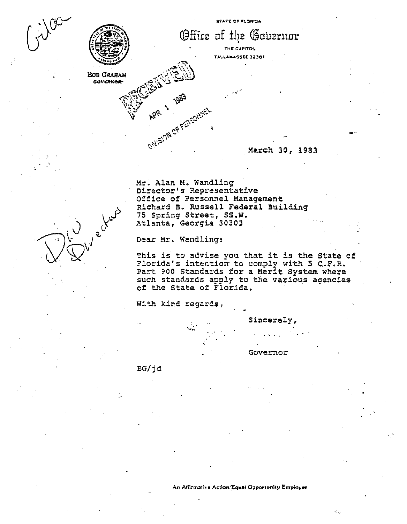

Office of the Governor

**THE CAPITOL TAl".I,.""MASSI:£ 3230'**

**.;**

March. 30, 1983

Mr. Alan M. Wandling Director's Representative Office of Personnel Management Richard B. Russell Federal Building 75 Spring Street, SS.W. Atlanta, Georgia 30303

Dear Mr. Wandling:

ENISION OF PEASONNELL

This is to advise you that it is the State of Florida's intention to comply with 5 C.F.R. Part 900 Standards for a Merit System where such standards apply to the various agencies. of the State of Florida.

With kind regards,

'.

Sincerely,

Governor

 $\leq$ 

. . ".

BG/jd

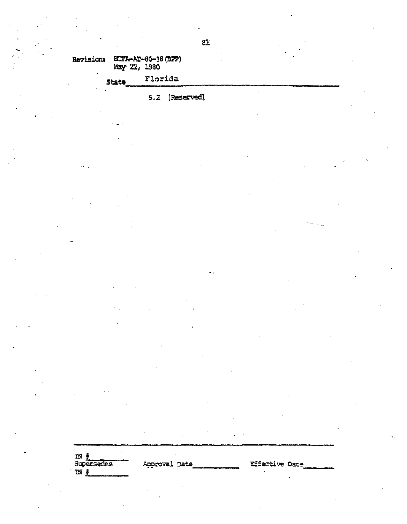Revision: HCFA-AT-80-38 (BFP)<br>May 22, 1980

| Stata | Florida |
|-------|---------|
|       |         |

5.2 [Reserved]

**N**<br>Supersedes  $\mathfrak{m}$   $\mathfrak{k}$ 

Approval Date

**Effective Date**